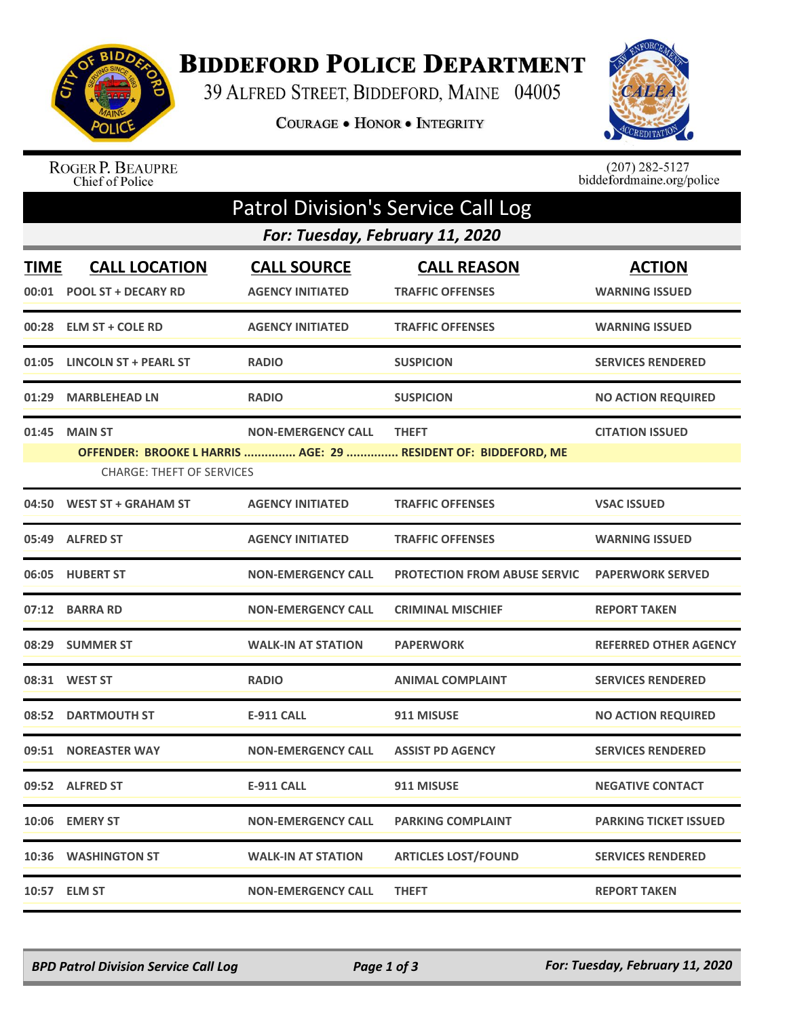

## **BIDDEFORD POLICE DEPARTMENT**

39 ALFRED STREET, BIDDEFORD, MAINE 04005

COURAGE . HONOR . INTEGRITY



ROGER P. BEAUPRE<br>Chief of Police

 $(207)$  282-5127<br>biddefordmaine.org/police

| <b>Patrol Division's Service Call Log</b> |                                                    |                                               |                                                                                |                                        |  |  |  |
|-------------------------------------------|----------------------------------------------------|-----------------------------------------------|--------------------------------------------------------------------------------|----------------------------------------|--|--|--|
| For: Tuesday, February 11, 2020           |                                                    |                                               |                                                                                |                                        |  |  |  |
| <b>TIME</b><br>00:01                      | <b>CALL LOCATION</b><br><b>POOL ST + DECARY RD</b> | <b>CALL SOURCE</b><br><b>AGENCY INITIATED</b> | <b>CALL REASON</b><br><b>TRAFFIC OFFENSES</b>                                  | <b>ACTION</b><br><b>WARNING ISSUED</b> |  |  |  |
|                                           | 00:28 ELM ST + COLE RD                             | <b>AGENCY INITIATED</b>                       | <b>TRAFFIC OFFENSES</b>                                                        | <b>WARNING ISSUED</b>                  |  |  |  |
| 01:05                                     | <b>LINCOLN ST + PEARL ST</b>                       | <b>RADIO</b>                                  | <b>SUSPICION</b>                                                               | <b>SERVICES RENDERED</b>               |  |  |  |
| 01:29                                     | <b>MARBLEHEAD LN</b>                               | <b>RADIO</b>                                  | <b>SUSPICION</b>                                                               | <b>NO ACTION REQUIRED</b>              |  |  |  |
| 01:45                                     | <b>MAIN ST</b><br><b>CHARGE: THEFT OF SERVICES</b> | <b>NON-EMERGENCY CALL</b>                     | <b>THEFT</b><br>OFFENDER: BROOKE L HARRIS  AGE: 29  RESIDENT OF: BIDDEFORD, ME | <b>CITATION ISSUED</b>                 |  |  |  |
| 04:50                                     | <b>WEST ST + GRAHAM ST</b>                         | <b>AGENCY INITIATED</b>                       | <b>TRAFFIC OFFENSES</b>                                                        | <b>VSAC ISSUED</b>                     |  |  |  |
|                                           | 05:49 ALFRED ST                                    | <b>AGENCY INITIATED</b>                       | <b>TRAFFIC OFFENSES</b>                                                        | <b>WARNING ISSUED</b>                  |  |  |  |
|                                           | 06:05 HUBERT ST                                    | <b>NON-EMERGENCY CALL</b>                     | <b>PROTECTION FROM ABUSE SERVIC</b>                                            | <b>PAPERWORK SERVED</b>                |  |  |  |
|                                           | 07:12 BARRA RD                                     | <b>NON-EMERGENCY CALL</b>                     | <b>CRIMINAL MISCHIEF</b>                                                       | <b>REPORT TAKEN</b>                    |  |  |  |
|                                           | 08:29 SUMMER ST                                    | <b>WALK-IN AT STATION</b>                     | <b>PAPERWORK</b>                                                               | <b>REFERRED OTHER AGENCY</b>           |  |  |  |
|                                           | 08:31 WEST ST                                      | <b>RADIO</b>                                  | <b>ANIMAL COMPLAINT</b>                                                        | <b>SERVICES RENDERED</b>               |  |  |  |
|                                           | 08:52 DARTMOUTH ST                                 | <b>E-911 CALL</b>                             | 911 MISUSE                                                                     | <b>NO ACTION REQUIRED</b>              |  |  |  |
| 09:51                                     | <b>NOREASTER WAY</b>                               | <b>NON-EMERGENCY CALL</b>                     | <b>ASSIST PD AGENCY</b>                                                        | <b>SERVICES RENDERED</b>               |  |  |  |
|                                           | 09:52 ALFRED ST                                    | <b>E-911 CALL</b>                             | 911 MISUSE                                                                     | <b>NEGATIVE CONTACT</b>                |  |  |  |
|                                           | 10:06 EMERY ST                                     | <b>NON-EMERGENCY CALL</b>                     | <b>PARKING COMPLAINT</b>                                                       | <b>PARKING TICKET ISSUED</b>           |  |  |  |
|                                           | 10:36 WASHINGTON ST                                | <b>WALK-IN AT STATION</b>                     | <b>ARTICLES LOST/FOUND</b>                                                     | <b>SERVICES RENDERED</b>               |  |  |  |
|                                           | 10:57 ELM ST                                       | <b>NON-EMERGENCY CALL</b>                     | <b>THEFT</b>                                                                   | <b>REPORT TAKEN</b>                    |  |  |  |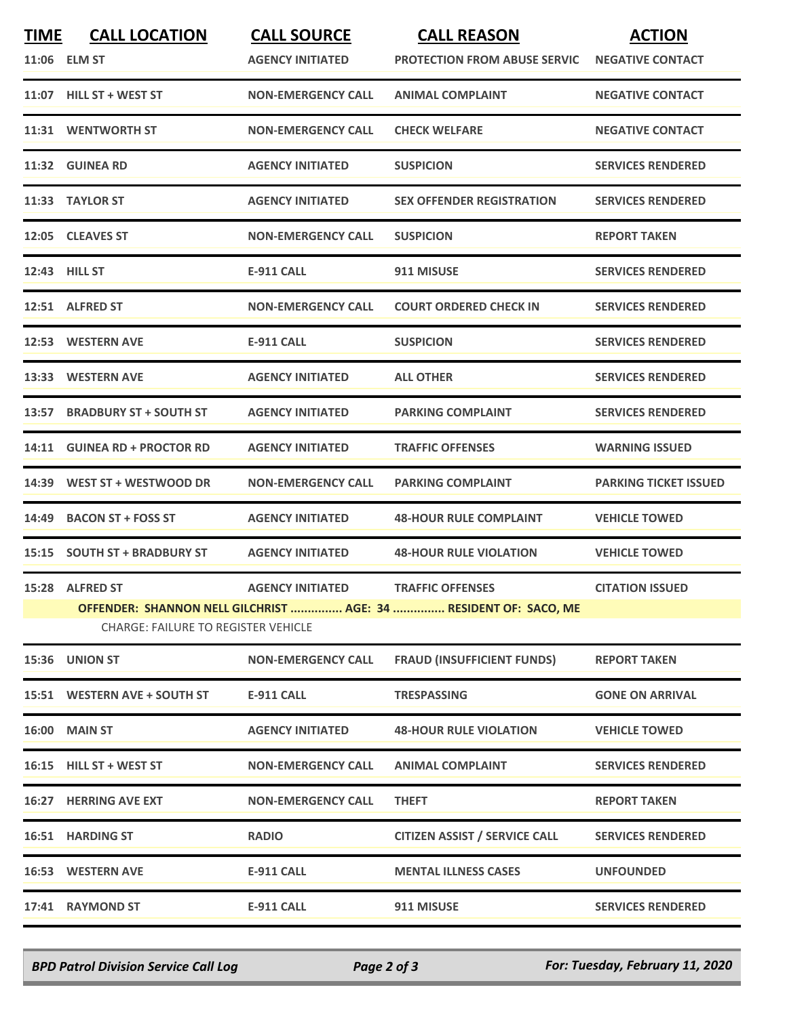| <b>TIME</b> | <b>CALL LOCATION</b>                                             | <b>CALL SOURCE</b>        | <b>CALL REASON</b>                   | <b>ACTION</b>                |  |  |  |
|-------------|------------------------------------------------------------------|---------------------------|--------------------------------------|------------------------------|--|--|--|
|             | 11:06 ELM ST                                                     | <b>AGENCY INITIATED</b>   | <b>PROTECTION FROM ABUSE SERVIC</b>  | <b>NEGATIVE CONTACT</b>      |  |  |  |
|             | 11:07 HILL ST + WEST ST                                          | <b>NON-EMERGENCY CALL</b> | <b>ANIMAL COMPLAINT</b>              | <b>NEGATIVE CONTACT</b>      |  |  |  |
|             | 11:31 WENTWORTH ST                                               | <b>NON-EMERGENCY CALL</b> | <b>CHECK WELFARE</b>                 | <b>NEGATIVE CONTACT</b>      |  |  |  |
| 11:32       | <b>GUINEA RD</b>                                                 | <b>AGENCY INITIATED</b>   | <b>SUSPICION</b>                     | <b>SERVICES RENDERED</b>     |  |  |  |
|             | 11:33 TAYLOR ST                                                  | <b>AGENCY INITIATED</b>   | <b>SEX OFFENDER REGISTRATION</b>     | <b>SERVICES RENDERED</b>     |  |  |  |
|             | 12:05 CLEAVES ST                                                 | <b>NON-EMERGENCY CALL</b> | <b>SUSPICION</b>                     | <b>REPORT TAKEN</b>          |  |  |  |
|             | 12:43 HILL ST                                                    | <b>E-911 CALL</b>         | 911 MISUSE                           | <b>SERVICES RENDERED</b>     |  |  |  |
|             | 12:51 ALFRED ST                                                  | <b>NON-EMERGENCY CALL</b> | <b>COURT ORDERED CHECK IN</b>        | <b>SERVICES RENDERED</b>     |  |  |  |
|             | 12:53 WESTERN AVE                                                | <b>E-911 CALL</b>         | <b>SUSPICION</b>                     | <b>SERVICES RENDERED</b>     |  |  |  |
| 13:33       | <b>WESTERN AVE</b>                                               | <b>AGENCY INITIATED</b>   | <b>ALL OTHER</b>                     | <b>SERVICES RENDERED</b>     |  |  |  |
| 13:57       | <b>BRADBURY ST + SOUTH ST</b>                                    | <b>AGENCY INITIATED</b>   | <b>PARKING COMPLAINT</b>             | <b>SERVICES RENDERED</b>     |  |  |  |
|             | 14:11 GUINEA RD + PROCTOR RD                                     | <b>AGENCY INITIATED</b>   | <b>TRAFFIC OFFENSES</b>              | <b>WARNING ISSUED</b>        |  |  |  |
| 14:39       | WEST ST + WESTWOOD DR                                            | <b>NON-EMERGENCY CALL</b> | <b>PARKING COMPLAINT</b>             | <b>PARKING TICKET ISSUED</b> |  |  |  |
| 14:49       | <b>BACON ST + FOSS ST</b>                                        | <b>AGENCY INITIATED</b>   | <b>48-HOUR RULE COMPLAINT</b>        | <b>VEHICLE TOWED</b>         |  |  |  |
|             | 15:15 SOUTH ST + BRADBURY ST                                     | <b>AGENCY INITIATED</b>   | <b>48-HOUR RULE VIOLATION</b>        | <b>VEHICLE TOWED</b>         |  |  |  |
|             | 15:28 ALFRED ST                                                  | <b>AGENCY INITIATED</b>   | <b>TRAFFIC OFFENSES</b>              | <b>CITATION ISSUED</b>       |  |  |  |
|             | OFFENDER: SHANNON NELL GILCHRIST  AGE: 34  RESIDENT OF: SACO, ME |                           |                                      |                              |  |  |  |
|             | <b>CHARGE: FAILURE TO REGISTER VEHICLE</b>                       |                           |                                      |                              |  |  |  |
|             | 15:36 UNION ST                                                   | <b>NON-EMERGENCY CALL</b> | <b>FRAUD (INSUFFICIENT FUNDS)</b>    | <b>REPORT TAKEN</b>          |  |  |  |
|             | 15:51 WESTERN AVE + SOUTH ST                                     | E-911 CALL                | <b>TRESPASSING</b>                   | <b>GONE ON ARRIVAL</b>       |  |  |  |
|             | 16:00 MAIN ST                                                    | <b>AGENCY INITIATED</b>   | <b>48-HOUR RULE VIOLATION</b>        | <b>VEHICLE TOWED</b>         |  |  |  |
|             | 16:15 HILL ST + WEST ST                                          | <b>NON-EMERGENCY CALL</b> | <b>ANIMAL COMPLAINT</b>              | <b>SERVICES RENDERED</b>     |  |  |  |
|             | <b>16:27 HERRING AVE EXT</b>                                     | <b>NON-EMERGENCY CALL</b> | <b>THEFT</b>                         | <b>REPORT TAKEN</b>          |  |  |  |
|             | 16:51 HARDING ST                                                 | <b>RADIO</b>              | <b>CITIZEN ASSIST / SERVICE CALL</b> | <b>SERVICES RENDERED</b>     |  |  |  |
|             | 16:53 WESTERN AVE                                                | <b>E-911 CALL</b>         | <b>MENTAL ILLNESS CASES</b>          | <b>UNFOUNDED</b>             |  |  |  |
|             | 17:41 RAYMOND ST                                                 | <b>E-911 CALL</b>         | 911 MISUSE                           | <b>SERVICES RENDERED</b>     |  |  |  |
|             |                                                                  |                           |                                      |                              |  |  |  |

*BPD Patrol Division Service Call Log Page 2 of 3 For: Tuesday, February 11, 2020*